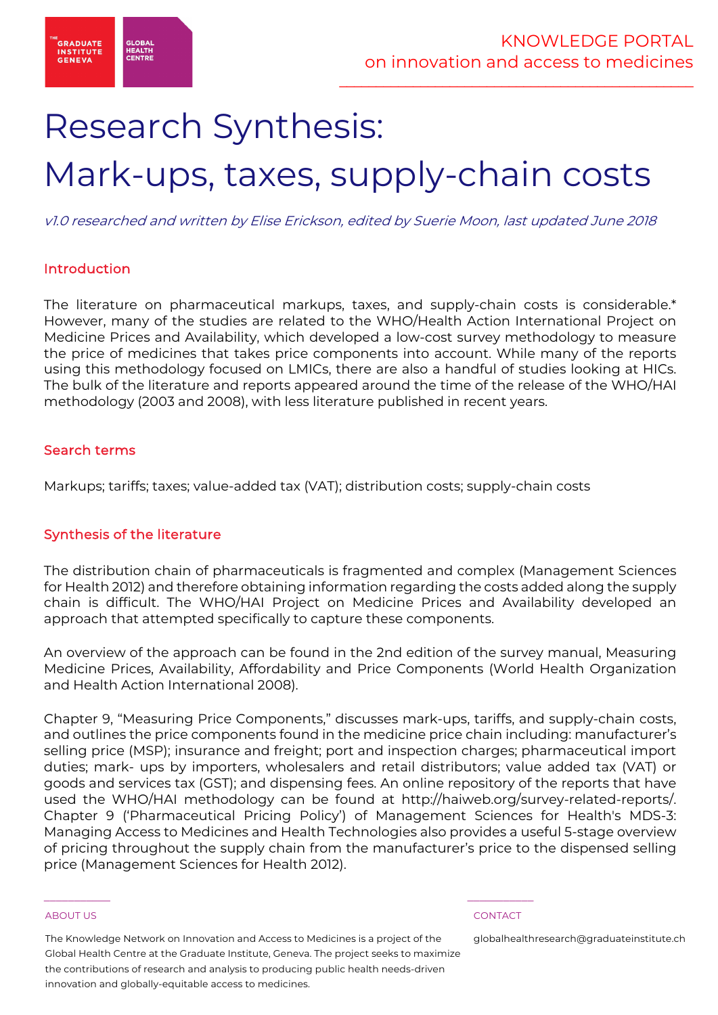

# Research Synthesis:

# Mark-ups, taxes, supply-chain costs

v1.0 researched and written by Elise Erickson, edited by Suerie Moon, last updated June 2018

# Introduction

The literature on pharmaceutical markups, taxes, and supply-chain costs is considerable.\* However, many of the studies are related to the WHO/Health Action International Project on Medicine Prices and Availability, which developed a low-cost survey methodology to measure the price of medicines that takes price components into account. While many of the reports using this methodology focused on LMICs, there are also a handful of studies looking at HICs. The bulk of the literature and reports appeared around the time of the release of the WHO/HAI methodology (2003 and 2008), with less literature published in recent years.

## Search terms

Markups; tariffs; taxes; value-added tax (VAT); distribution costs; supply-chain costs

# Synthesis of the literature

The distribution chain of pharmaceuticals is fragmented and complex (Management Sciences for Health 2012) and therefore obtaining information regarding the costs added along the supply chain is difficult. The WHO/HAI Project on Medicine Prices and Availability developed an approach that attempted specifically to capture these components.

An overview of the approach can be found in the 2nd edition of the survey manual, Measuring Medicine Prices, Availability, Affordability and Price Components (World Health Organization and Health Action International 2008).

Chapter 9, "Measuring Price Components," discusses mark-ups, tariffs, and supply-chain costs, and outlines the price components found in the medicine price chain including: manufacturer's selling price (MSP); insurance and freight; port and inspection charges; pharmaceutical import duties; mark- ups by importers, wholesalers and retail distributors; value added tax (VAT) or goods and services tax (GST); and dispensing fees. An online repository of the reports that have used the WHO/HAI methodology can be found at http://haiweb.org/survey-related-reports/. Chapter 9 ('Pharmaceutical Pricing Policy') of Management Sciences for Health's MDS-3: Managing Access to Medicines and Health Technologies also provides a useful 5-stage overview of pricing throughout the supply chain from the manufacturer's price to the dispensed selling price (Management Sciences for Health 2012).

### ABOUT US CONTACT AND RESERVE THE RELEASE OF THE RELEASE OF THE RELEASE OF THE RELEASE OF THE RELEASE OF THE RELEASE OF THE RELEASE OF THE RELEASE OF THE RELEASE OF THE RELEASE OF THE RELEASE OF THE RELEASE OF THE RELEASE O

The Knowledge Network on Innovation and Access to Medicines is a project of the Global Health Centre at the Graduate Institute, Geneva. The project seeks to maximize the contributions of research and analysis to producing public health needs-driven innovation and globally-equitable access to medicines.

 $\frac{1}{2}$  , and the set of the set of the set of the set of the set of the set of the set of the set of the set of the set of the set of the set of the set of the set of the set of the set of the set of the set of the set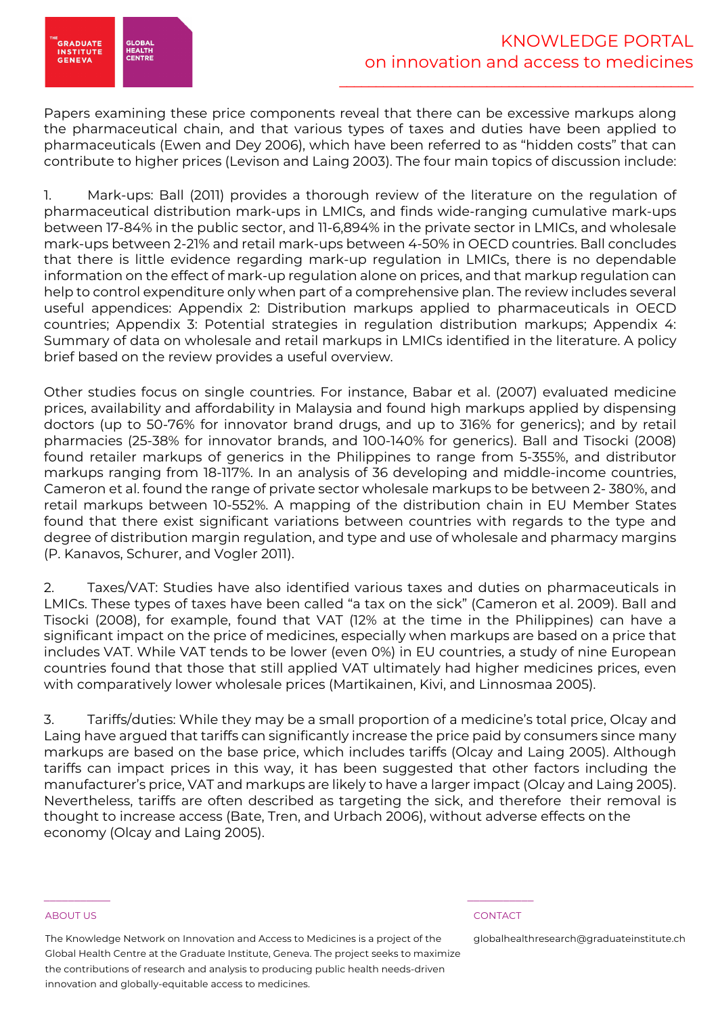

Papers examining these price components reveal that there can be excessive markups along the pharmaceutical chain, and that various types of taxes and duties have been applied to pharmaceuticals (Ewen and Dey 2006), which have been referred to as "hidden costs" that can contribute to higher prices (Levison and Laing 2003). The four main topics of discussion include:

1. Mark-ups: Ball (2011) provides a thorough review of the literature on the regulation of pharmaceutical distribution mark-ups in LMICs, and finds wide-ranging cumulative mark-ups between 17-84% in the public sector, and 11-6,894% in the private sector in LMICs, and wholesale mark-ups between 2-21% and retail mark-ups between 4-50% in OECD countries. Ball concludes that there is little evidence regarding mark-up regulation in LMICs, there is no dependable information on the effect of mark-up regulation alone on prices, and that markup regulation can help to control expenditure only when part of a comprehensive plan. The review includes several useful appendices: Appendix 2: Distribution markups applied to pharmaceuticals in OECD countries; Appendix 3: Potential strategies in regulation distribution markups; Appendix 4: Summary of data on wholesale and retail markups in LMICs identified in the literature. A policy brief based on the review provides a useful overview.

Other studies focus on single countries. For instance, Babar et al. (2007) evaluated medicine prices, availability and affordability in Malaysia and found high markups applied by dispensing doctors (up to 50-76% for innovator brand drugs, and up to 316% for generics); and by retail pharmacies (25-38% for innovator brands, and 100-140% for generics). Ball and Tisocki (2008) found retailer markups of generics in the Philippines to range from 5-355%, and distributor markups ranging from 18-117%. In an analysis of 36 developing and middle-income countries, Cameron et al. found the range of private sector wholesale markups to be between 2- 380%, and retail markups between 10-552%. A mapping of the distribution chain in EU Member States found that there exist significant variations between countries with regards to the type and degree of distribution margin regulation, and type and use of wholesale and pharmacy margins (P. Kanavos, Schurer, and Vogler 2011).

2. Taxes/VAT: Studies have also identified various taxes and duties on pharmaceuticals in LMICs. These types of taxes have been called "a tax on the sick" (Cameron et al. 2009). Ball and Tisocki (2008), for example, found that VAT (12% at the time in the Philippines) can have a significant impact on the price of medicines, especially when markups are based on a price that includes VAT. While VAT tends to be lower (even 0%) in EU countries, a study of nine European countries found that those that still applied VAT ultimately had higher medicines prices, even with comparatively lower wholesale prices (Martikainen, Kivi, and Linnosmaa 2005).

3. Tariffs/duties: While they may be a small proportion of a medicine's total price, Olcay and Laing have argued that tariffs can significantly increase the price paid by consumers since many markups are based on the base price, which includes tariffs (Olcay and Laing 2005). Although tariffs can impact prices in this way, it has been suggested that other factors including the manufacturer's price, VAT and markups are likely to have a larger impact (Olcay and Laing 2005). Nevertheless, tariffs are often described as targeting the sick, and therefore their removal is thought to increase access (Bate, Tren, and Urbach 2006), without adverse effects on the economy (Olcay and Laing 2005).

### ABOUT US CONTACT AND RESERVE THE RELEASE OF THE RELEASE OF THE RELEASE OF THE RELEASE OF THE RELEASE OF THE RELEASE OF THE RELEASE OF THE RELEASE OF THE RELEASE OF THE RELEASE OF THE RELEASE OF THE RELEASE OF THE RELEASE O

The Knowledge Network on Innovation and Access to Medicines is a project of the Global Health Centre at the Graduate Institute, Geneva. The project seeks to maximize the contributions of research and analysis to producing public health needs-driven innovation and globally-equitable access to medicines.

 $\frac{1}{2}$  , and the set of the set of the set of the set of the set of the set of the set of the set of the set of the set of the set of the set of the set of the set of the set of the set of the set of the set of the set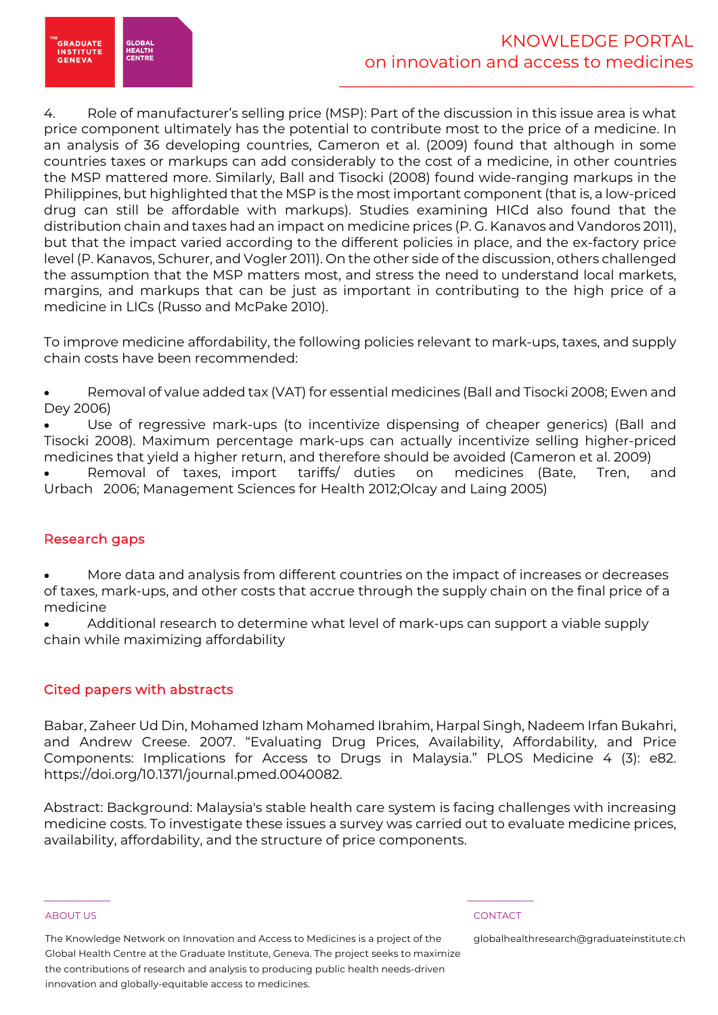

4. Role of manufacturer's selling price (MSP): Part of the discussion in this issue area is what price component ultimately has the potential to contribute most to the price of a medicine. In an analysis of 36 developing countries, Cameron et al. (2009) found that although in some countries taxes or markups can add considerably to the cost of a medicine, in other countries the MSP mattered more. Similarly, Ball and Tisocki (2008) found wide-ranging markups in the Philippines, but highlighted that the MSP is the most important component (that is, a low-priced drug can still be affordable with markups). Studies examining HICd also found that the distribution chain and taxes had an impact on medicine prices (P. G. Kanavos and Vandoros 2011), but that the impact varied according to the different policies in place, and the ex-factory price level (P. Kanavos, Schurer, and Vogler 2011). On the other side of the discussion, others challenged the assumption that the MSP matters most, and stress the need to understand local markets, margins, and markups that can be just as important in contributing to the high price of a medicine in LICs (Russo and McPake 2010).

To improve medicine affordability, the following policies relevant to mark-ups, taxes, and supply chain costs have been recommended:

• Removal of value added tax (VAT) for essential medicines (Ball and Tisocki 2008; Ewen and Dey 2006)

Use of regressive mark-ups (to incentivize dispensing of cheaper generics) (Ball and Tisocki 2008). Maximum percentage mark-ups can actually incentivize selling higher-priced medicines that yield a higher return, and therefore should be avoided (Cameron et al. 2009)

Removal of taxes, import tariffs/ duties on medicines (Bate, Tren, and Urbach 2006; Management Sciences for Health 2012;Olcay and Laing 2005)

# Research gaps

• More data and analysis from different countries on the impact of increases or decreases of taxes, mark-ups, and other costs that accrue through the supply chain on the final price of a medicine

• Additional research to determine what level of mark-ups can support a viable supply chain while maximizing affordability

# Cited papers with abstracts

Babar, Zaheer Ud Din, Mohamed Izham Mohamed Ibrahim, Harpal Singh, Nadeem Irfan Bukahri, and Andrew Creese. 2007. "Evaluating Drug Prices, Availability, Affordability, and Price Components: Implications for Access to Drugs in Malaysia." PLOS Medicine 4 (3): e82. https://doi.org/10.1371/journal.pmed.0040082.

Abstract: Background: Malaysia's stable health care system is facing challenges with increasing medicine costs. To investigate these issues a survey was carried out to evaluate medicine prices, availability, affordability, and the structure of price components.

### ABOUT US CONTACT AND RESERVE THE RELEASE OF THE RELEASE OF THE RELEASE OF THE RELEASE OF THE RELEASE OF THE RELEASE OF THE RELEASE OF THE RELEASE OF THE RELEASE OF THE RELEASE OF THE RELEASE OF THE RELEASE OF THE RELEASE O

The Knowledge Network on Innovation and Access to Medicines is a project of the Global Health Centre at the Graduate Institute, Geneva. The project seeks to maximize the contributions of research and analysis to producing public health needs-driven innovation and globally-equitable access to medicines.

 $\frac{1}{2}$  , and the set of the set of the set of the set of the set of the set of the set of the set of the set of the set of the set of the set of the set of the set of the set of the set of the set of the set of the set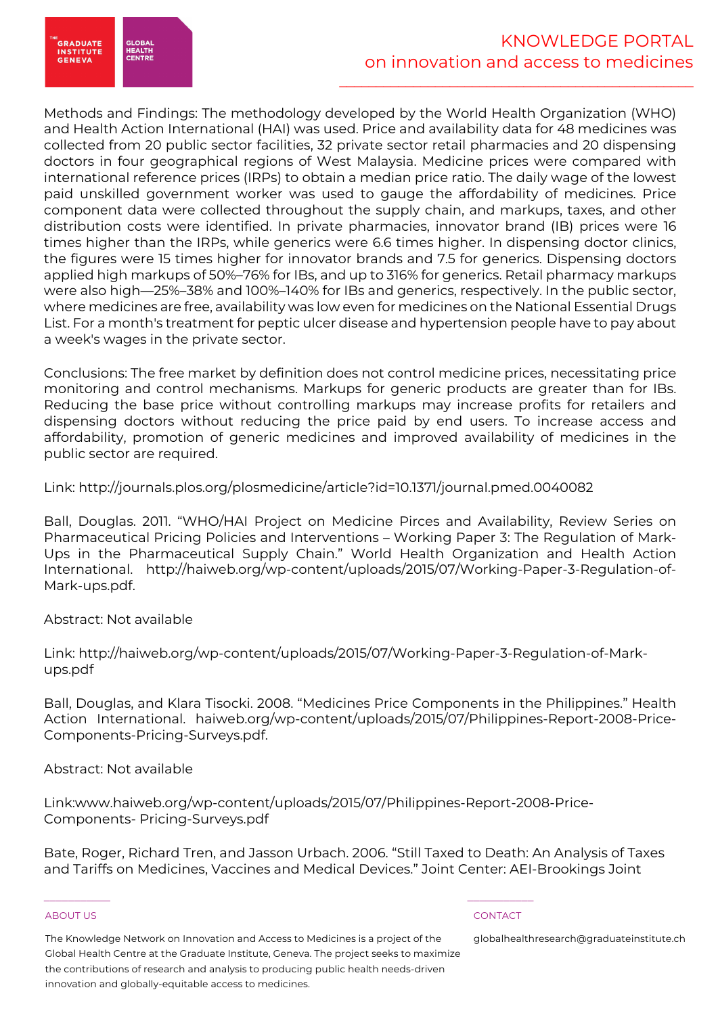.<br>GRADUATE<br>INSTITUTE **HEALTH**<br>CENTR **GENEVA** 

Methods and Findings: The methodology developed by the World Health Organization (WHO) and Health Action International (HAI) was used. Price and availability data for 48 medicines was collected from 20 public sector facilities, 32 private sector retail pharmacies and 20 dispensing doctors in four geographical regions of West Malaysia. Medicine prices were compared with international reference prices (IRPs) to obtain a median price ratio. The daily wage of the lowest paid unskilled government worker was used to gauge the affordability of medicines. Price component data were collected throughout the supply chain, and markups, taxes, and other distribution costs were identified. In private pharmacies, innovator brand (IB) prices were 16 times higher than the IRPs, while generics were 6.6 times higher. In dispensing doctor clinics, the figures were 15 times higher for innovator brands and 7.5 for generics. Dispensing doctors applied high markups of 50%–76% for IBs, and up to 316% for generics. Retail pharmacy markups were also high—25%–38% and 100%–140% for IBs and generics, respectively. In the public sector, where medicines are free, availability was low even for medicines on the National Essential Drugs List. For a month's treatment for peptic ulcer disease and hypertension people have to pay about a week's wages in the private sector.

Conclusions: The free market by definition does not control medicine prices, necessitating price monitoring and control mechanisms. Markups for generic products are greater than for IBs. Reducing the base price without controlling markups may increase profits for retailers and dispensing doctors without reducing the price paid by end users. To increase access and affordability, promotion of generic medicines and improved availability of medicines in the public sector are required.

Link: http://journals.plos.org/plosmedicine/article?id=10.1371/journal.pmed.0040082

Ball, Douglas. 2011. "WHO/HAI Project on Medicine Pirces and Availability, Review Series on Pharmaceutical Pricing Policies and Interventions – Working Paper 3: The Regulation of Mark-Ups in the Pharmaceutical Supply Chain." World Health Organization and Health Action International. http://haiweb.org/wp-content/uploads/2015/07/Working-Paper-3-Regulation-of-Mark-ups.pdf.

Abstract: Not available

Link: http://haiweb.org/wp-content/uploads/2015/07/Working-Paper-3-Regulation-of-Markups.pdf

Ball, Douglas, and Klara Tisocki. 2008. "Medicines Price Components in the Philippines." Health Action International. haiweb.org/wp-content/uploads/2015/07/Philippines-Report-2008-Price-Components-Pricing-Surveys.pdf.

Abstract: Not available

Link:www.haiweb.org/wp-content/uploads/2015/07/Philippines-Report-2008-Price-Components- Pricing-Surveys.pdf

Bate, Roger, Richard Tren, and Jasson Urbach. 2006. "Still Taxed to Death: An Analysis of Taxes and Tariffs on Medicines, Vaccines and Medical Devices." Joint Center: AEI-Brookings Joint

## ABOUT US CONTACT AND RESERVE THE RELEASE OF THE RELEASE OF THE RELEASE OF THE RELEASE OF THE RELEASE OF THE RELEASE OF THE RELEASE OF THE RELEASE OF THE RELEASE OF THE RELEASE OF THE RELEASE OF THE RELEASE OF THE RELEASE O

The Knowledge Network on Innovation and Access to Medicines is a project of the Global Health Centre at the Graduate Institute, Geneva. The project seeks to maximize the contributions of research and analysis to producing public health needs-driven innovation and globally-equitable access to medicines.

 $\frac{1}{2}$  , and the set of the set of the set of the set of the set of the set of the set of the set of the set of the set of the set of the set of the set of the set of the set of the set of the set of the set of the set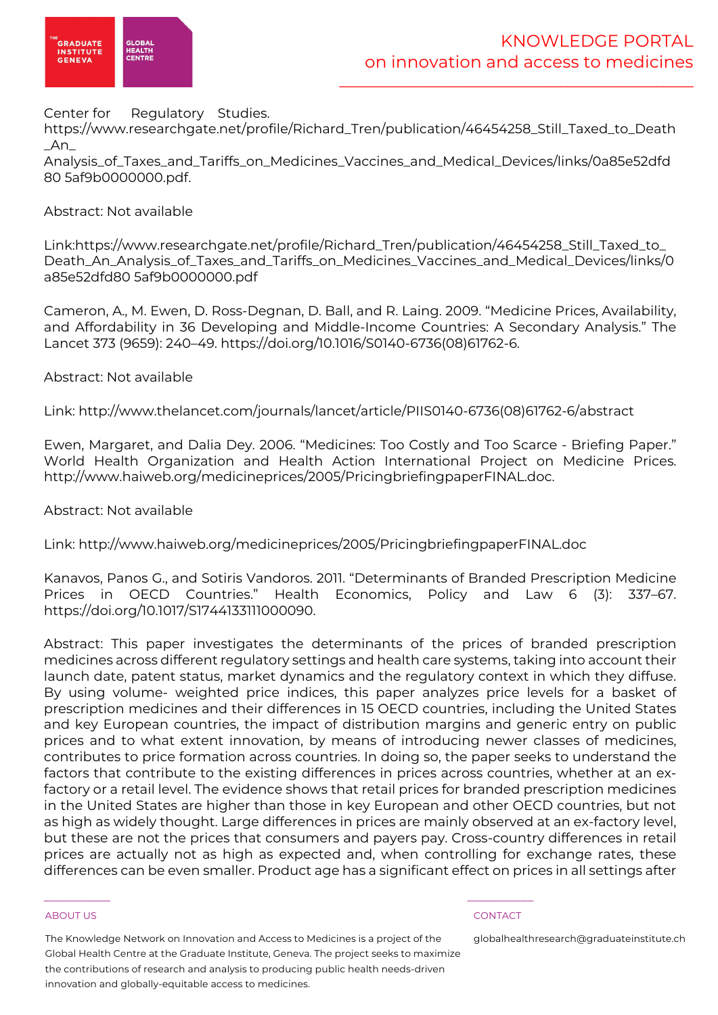

Center for Regulatory Studies.

https://www.researchgate.net/profile/Richard\_Tren/publication/46454258\_Still\_Taxed\_to\_Death \_An\_

Analysis\_of\_Taxes\_and\_Tariffs\_on\_Medicines\_Vaccines\_and\_Medical\_Devices/links/0a85e52dfd 80 5af9b0000000.pdf.

# Abstract: Not available

Link:https://www.researchgate.net/profile/Richard\_Tren/publication/46454258\_Still\_Taxed\_to\_ Death\_An\_Analysis\_of\_Taxes\_and\_Tariffs\_on\_Medicines\_Vaccines\_and\_Medical\_Devices/links/0 a85e52dfd80 5af9b0000000.pdf

Cameron, A., M. Ewen, D. Ross-Degnan, D. Ball, and R. Laing. 2009. "Medicine Prices, Availability, and Affordability in 36 Developing and Middle-Income Countries: A Secondary Analysis." The Lancet 373 (9659): 240–49. https://doi.org/10.1016/S0140-6736(08)61762-6.

Abstract: Not available

Link: http://www.thelancet.com/journals/lancet/article/PIIS0140-6736(08)61762-6/abstract

Ewen, Margaret, and Dalia Dey. 2006. "Medicines: Too Costly and Too Scarce - Briefing Paper." World Health Organization and Health Action International Project on Medicine Prices. http://www.haiweb.org/medicineprices/2005/PricingbriefingpaperFINAL.doc.

Abstract: Not available

Link: http://www.haiweb.org/medicineprices/2005/PricingbriefingpaperFINAL.doc

Kanavos, Panos G., and Sotiris Vandoros. 2011. "Determinants of Branded Prescription Medicine Prices in OECD Countries." Health Economics, Policy and Law 6 (3): 337–67. https://doi.org/10.1017/S1744133111000090.

Abstract: This paper investigates the determinants of the prices of branded prescription medicines across different regulatory settings and health care systems, taking into account their launch date, patent status, market dynamics and the regulatory context in which they diffuse. By using volume- weighted price indices, this paper analyzes price levels for a basket of prescription medicines and their differences in 15 OECD countries, including the United States and key European countries, the impact of distribution margins and generic entry on public prices and to what extent innovation, by means of introducing newer classes of medicines, contributes to price formation across countries. In doing so, the paper seeks to understand the factors that contribute to the existing differences in prices across countries, whether at an exfactory or a retail level. The evidence shows that retail prices for branded prescription medicines in the United States are higher than those in key European and other OECD countries, but not as high as widely thought. Large differences in prices are mainly observed at an ex-factory level, but these are not the prices that consumers and payers pay. Cross-country differences in retail prices are actually not as high as expected and, when controlling for exchange rates, these differences can be even smaller. Product age has a significant effect on prices in all settings after

### ABOUT US CONTACT AND RESERVE THE RELEASE OF THE RELEASE OF THE RELEASE OF THE RELEASE OF THE RELEASE OF THE RELEASE OF THE RELEASE OF THE RELEASE OF THE RELEASE OF THE RELEASE OF THE RELEASE OF THE RELEASE OF THE RELEASE O

The Knowledge Network on Innovation and Access to Medicines is a project of the Global Health Centre at the Graduate Institute, Geneva. The project seeks to maximize the contributions of research and analysis to producing public health needs-driven innovation and globally-equitable access to medicines.

 $\frac{1}{2}$  , and the set of the set of the set of the set of the set of the set of the set of the set of the set of the set of the set of the set of the set of the set of the set of the set of the set of the set of the set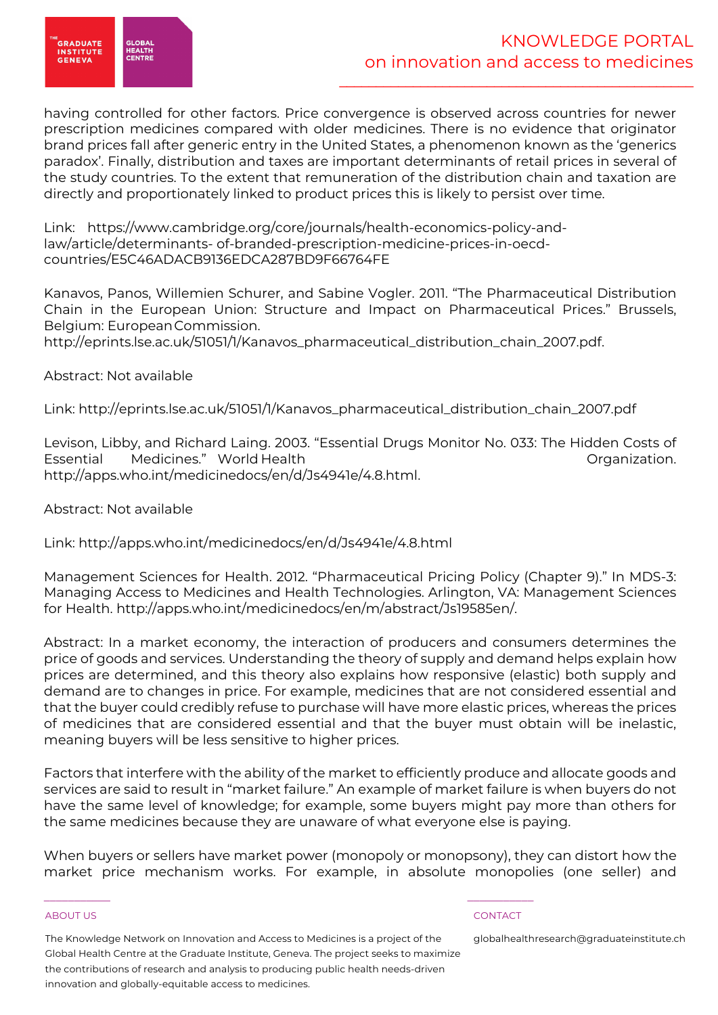

having controlled for other factors. Price convergence is observed across countries for newer prescription medicines compared with older medicines. There is no evidence that originator brand prices fall after generic entry in the United States, a phenomenon known as the 'generics paradox'. Finally, distribution and taxes are important determinants of retail prices in several of the study countries. To the extent that remuneration of the distribution chain and taxation are directly and proportionately linked to product prices this is likely to persist over time.

Link: https://www.cambridge.org/core/journals/health-economics-policy-andlaw/article/determinants- of-branded-prescription-medicine-prices-in-oecdcountries/E5C46ADACB9136EDCA287BD9F66764FE

Kanavos, Panos, Willemien Schurer, and Sabine Vogler. 2011. "The Pharmaceutical Distribution Chain in the European Union: Structure and Impact on Pharmaceutical Prices." Brussels, Belgium: EuropeanCommission.

http://eprints.lse.ac.uk/51051/1/Kanavos\_pharmaceutical\_distribution\_chain\_2007.pdf.

# Abstract: Not available

Link: http://eprints.lse.ac.uk/51051/1/Kanavos\_pharmaceutical\_distribution\_chain\_2007.pdf

Levison, Libby, and Richard Laing. 2003. "Essential Drugs Monitor No. 033: The Hidden Costs of Essential Medicines." World Health **Example 2018** Organization. http://apps.who.int/medicinedocs/en/d/Js4941e/4.8.html.

Abstract: Not available

Link: http://apps.who.int/medicinedocs/en/d/Js4941e/4.8.html

Management Sciences for Health. 2012. "Pharmaceutical Pricing Policy (Chapter 9)." In MDS-3: Managing Access to Medicines and Health Technologies. Arlington, VA: Management Sciences for Health. http://apps.who.int/medicinedocs/en/m/abstract/Js19585en/.

Abstract: In a market economy, the interaction of producers and consumers determines the price of goods and services. Understanding the theory of supply and demand helps explain how prices are determined, and this theory also explains how responsive (elastic) both supply and demand are to changes in price. For example, medicines that are not considered essential and that the buyer could credibly refuse to purchase will have more elastic prices, whereas the prices of medicines that are considered essential and that the buyer must obtain will be inelastic, meaning buyers will be less sensitive to higher prices.

Factors that interfere with the ability of the market to efficiently produce and allocate goods and services are said to result in "market failure." An example of market failure is when buyers do not have the same level of knowledge; for example, some buyers might pay more than others for the same medicines because they are unaware of what everyone else is paying.

When buyers or sellers have market power (monopoly or monopsony), they can distort how the market price mechanism works. For example, in absolute monopolies (one seller) and

### ABOUT US CONTACT AND RESERVE THE RELEASE OF THE RELEASE OF THE RELEASE OF THE RELEASE OF THE RELEASE OF THE RELEASE OF THE RELEASE OF THE RELEASE OF THE RELEASE OF THE RELEASE OF THE RELEASE OF THE RELEASE OF THE RELEASE O

The Knowledge Network on Innovation and Access to Medicines is a project of the Global Health Centre at the Graduate Institute, Geneva. The project seeks to maximize the contributions of research and analysis to producing public health needs-driven innovation and globally-equitable access to medicines.

 $\frac{1}{2}$  , and the set of the set of the set of the set of the set of the set of the set of the set of the set of the set of the set of the set of the set of the set of the set of the set of the set of the set of the set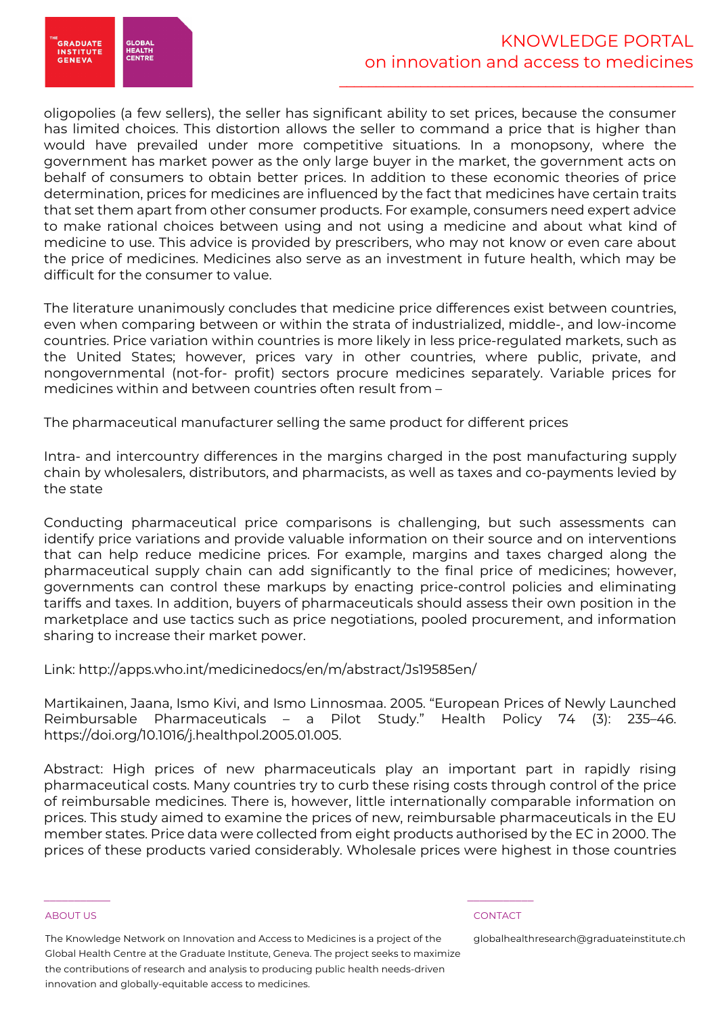

oligopolies (a few sellers), the seller has significant ability to set prices, because the consumer has limited choices. This distortion allows the seller to command a price that is higher than would have prevailed under more competitive situations. In a monopsony, where the government has market power as the only large buyer in the market, the government acts on behalf of consumers to obtain better prices. In addition to these economic theories of price determination, prices for medicines are influenced by the fact that medicines have certain traits that set them apart from other consumer products. For example, consumers need expert advice to make rational choices between using and not using a medicine and about what kind of medicine to use. This advice is provided by prescribers, who may not know or even care about the price of medicines. Medicines also serve as an investment in future health, which may be difficult for the consumer to value.

The literature unanimously concludes that medicine price differences exist between countries, even when comparing between or within the strata of industrialized, middle-, and low-income countries. Price variation within countries is more likely in less price-regulated markets, such as the United States; however, prices vary in other countries, where public, private, and nongovernmental (not-for- profit) sectors procure medicines separately. Variable prices for medicines within and between countries often result from –

The pharmaceutical manufacturer selling the same product for different prices

Intra- and intercountry differences in the margins charged in the post manufacturing supply chain by wholesalers, distributors, and pharmacists, as well as taxes and co-payments levied by the state

Conducting pharmaceutical price comparisons is challenging, but such assessments can identify price variations and provide valuable information on their source and on interventions that can help reduce medicine prices. For example, margins and taxes charged along the pharmaceutical supply chain can add significantly to the final price of medicines; however, governments can control these markups by enacting price-control policies and eliminating tariffs and taxes. In addition, buyers of pharmaceuticals should assess their own position in the marketplace and use tactics such as price negotiations, pooled procurement, and information sharing to increase their market power.

Link: http://apps.who.int/medicinedocs/en/m/abstract/Js19585en/

Martikainen, Jaana, Ismo Kivi, and Ismo Linnosmaa. 2005. "European Prices of Newly Launched Reimbursable Pharmaceuticals – a Pilot Study." Health Policy 74 (3): 235–46. https://doi.org/10.1016/j.healthpol.2005.01.005.

Abstract: High prices of new pharmaceuticals play an important part in rapidly rising pharmaceutical costs. Many countries try to curb these rising costs through control of the price of reimbursable medicines. There is, however, little internationally comparable information on prices. This study aimed to examine the prices of new, reimbursable pharmaceuticals in the EU member states. Price data were collected from eight products authorised by the EC in 2000. The prices of these products varied considerably. Wholesale prices were highest in those countries

### ABOUT US CONTACT AND RESERVE THE RELEASE OF THE RELEASE OF THE RELEASE OF THE RELEASE OF THE RELEASE OF THE RELEASE OF THE RELEASE OF THE RELEASE OF THE RELEASE OF THE RELEASE OF THE RELEASE OF THE RELEASE OF THE RELEASE O

The Knowledge Network on Innovation and Access to Medicines is a project of the Global Health Centre at the Graduate Institute, Geneva. The project seeks to maximize the contributions of research and analysis to producing public health needs-driven innovation and globally-equitable access to medicines.

 $\frac{1}{2}$  , and the set of the set of the set of the set of the set of the set of the set of the set of the set of the set of the set of the set of the set of the set of the set of the set of the set of the set of the set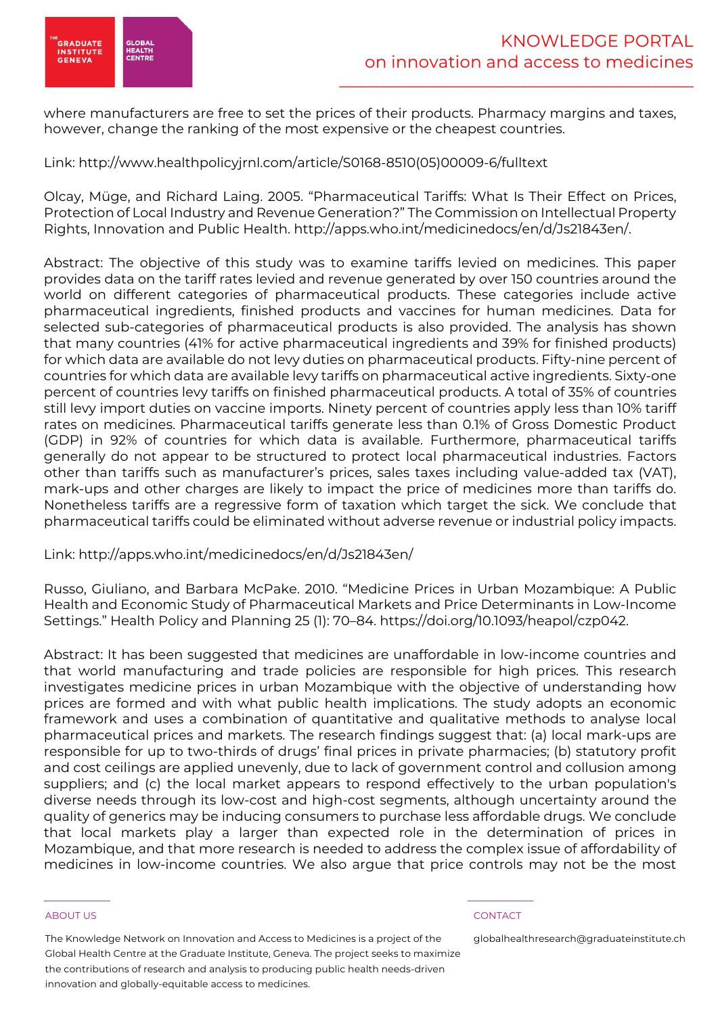

where manufacturers are free to set the prices of their products. Pharmacy margins and taxes, however, change the ranking of the most expensive or the cheapest countries.

Link: http://www.healthpolicyjrnl.com/article/S0168-8510(05)00009-6/fulltext

Olcay, Müge, and Richard Laing. 2005. "Pharmaceutical Tariffs: What Is Their Effect on Prices, Protection of Local Industry and Revenue Generation?" The Commission on Intellectual Property Rights, Innovation and Public Health. http://apps.who.int/medicinedocs/en/d/Js21843en/.

Abstract: The objective of this study was to examine tariffs levied on medicines. This paper provides data on the tariff rates levied and revenue generated by over 150 countries around the world on different categories of pharmaceutical products. These categories include active pharmaceutical ingredients, finished products and vaccines for human medicines. Data for selected sub-categories of pharmaceutical products is also provided. The analysis has shown that many countries (41% for active pharmaceutical ingredients and 39% for finished products) for which data are available do not levy duties on pharmaceutical products. Fifty-nine percent of countries for which data are available levy tariffs on pharmaceutical active ingredients. Sixty-one percent of countries levy tariffs on finished pharmaceutical products. A total of 35% of countries still levy import duties on vaccine imports. Ninety percent of countries apply less than 10% tariff rates on medicines. Pharmaceutical tariffs generate less than 0.1% of Gross Domestic Product (GDP) in 92% of countries for which data is available. Furthermore, pharmaceutical tariffs generally do not appear to be structured to protect local pharmaceutical industries. Factors other than tariffs such as manufacturer's prices, sales taxes including value-added tax (VAT), mark-ups and other charges are likely to impact the price of medicines more than tariffs do. Nonetheless tariffs are a regressive form of taxation which target the sick. We conclude that pharmaceutical tariffs could be eliminated without adverse revenue or industrial policy impacts.

# Link: http://apps.who.int/medicinedocs/en/d/Js21843en/

Russo, Giuliano, and Barbara McPake. 2010. "Medicine Prices in Urban Mozambique: A Public Health and Economic Study of Pharmaceutical Markets and Price Determinants in Low-Income Settings." Health Policy and Planning 25 (1): 70–84. https://doi.org/10.1093/heapol/czp042.

Abstract: It has been suggested that medicines are unaffordable in low-income countries and that world manufacturing and trade policies are responsible for high prices. This research investigates medicine prices in urban Mozambique with the objective of understanding how prices are formed and with what public health implications. The study adopts an economic framework and uses a combination of quantitative and qualitative methods to analyse local pharmaceutical prices and markets. The research findings suggest that: (a) local mark-ups are responsible for up to two-thirds of drugs' final prices in private pharmacies; (b) statutory profit and cost ceilings are applied unevenly, due to lack of government control and collusion among suppliers; and (c) the local market appears to respond effectively to the urban population's diverse needs through its low-cost and high-cost segments, although uncertainty around the quality of generics may be inducing consumers to purchase less affordable drugs. We conclude that local markets play a larger than expected role in the determination of prices in Mozambique, and that more research is needed to address the complex issue of affordability of medicines in low-income countries. We also argue that price controls may not be the most

### ABOUT US CONTACT AND RESERVE THE RELEASE OF THE RELEASE OF THE RELEASE OF THE RELEASE OF THE RELEASE OF THE RELEASE OF THE RELEASE OF THE RELEASE OF THE RELEASE OF THE RELEASE OF THE RELEASE OF THE RELEASE OF THE RELEASE O

The Knowledge Network on Innovation and Access to Medicines is a project of the Global Health Centre at the Graduate Institute, Geneva. The project seeks to maximize the contributions of research and analysis to producing public health needs-driven innovation and globally-equitable access to medicines.

 $\frac{1}{2}$  , and the set of the set of the set of the set of the set of the set of the set of the set of the set of the set of the set of the set of the set of the set of the set of the set of the set of the set of the set